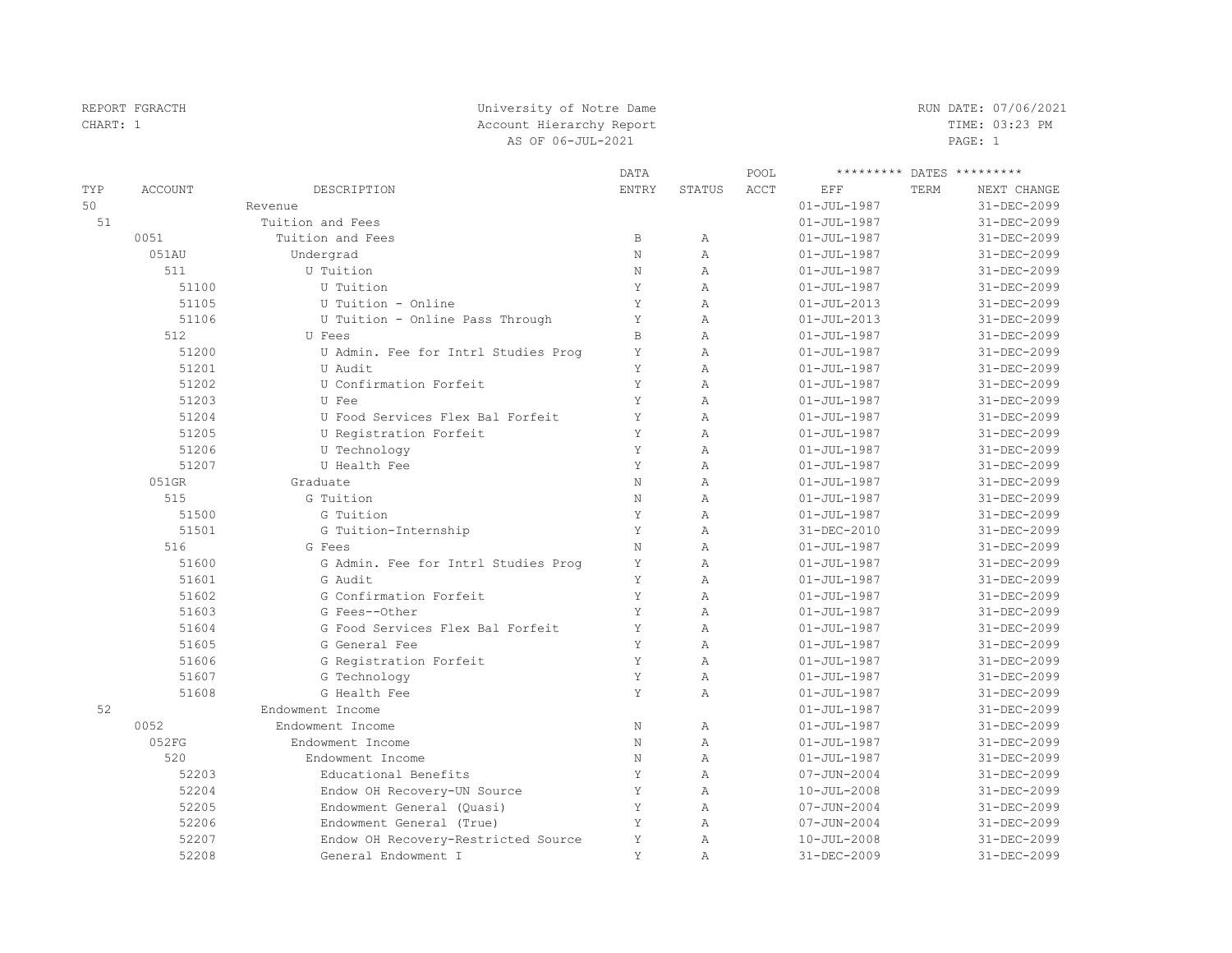| CHART: 1 | Account Hierarchy Report |                                     |              |                |      |                   |      | TIME: 03:23 PM            |  |
|----------|--------------------------|-------------------------------------|--------------|----------------|------|-------------------|------|---------------------------|--|
|          |                          | AS OF 06-JUL-2021                   |              |                |      |                   |      |                           |  |
|          |                          |                                     | <b>DATA</b>  |                | POOL |                   |      | ********* DATES ********* |  |
| TYP      | <b>ACCOUNT</b>           | DESCRIPTION                         | <b>ENTRY</b> | <b>STATUS</b>  | ACCT | EFF               | TERM | NEXT CHANGE               |  |
| 50       |                          | Revenue                             |              |                |      | $01 - JUL - 1987$ |      | 31-DEC-2099               |  |
| 51       |                          | Tuition and Fees                    |              |                |      | $01 - JUL - 1987$ |      | 31-DEC-2099               |  |
|          | 0051                     | Tuition and Fees                    | $\mathbb B$  | $\mathbb{A}$   |      | $01 - JUL - 1987$ |      | 31-DEC-2099               |  |
|          | 051AU                    | Undergrad                           | $\mathbf N$  | $\overline{A}$ |      | $01 - JUL - 1987$ |      | 31-DEC-2099               |  |
|          | 511                      | U Tuition                           | N            | $\overline{A}$ |      | $01 - JUL - 1987$ |      | 31-DEC-2099               |  |
|          | 51100                    | U Tuition                           | Υ            | $\mathbb{A}$   |      | $01 - JUL - 1987$ |      | 31-DEC-2099               |  |
|          | 51105                    | U Tuition - Online                  | Y            | $\overline{A}$ |      | $01 - JUL - 2013$ |      | 31-DEC-2099               |  |
|          | 51106                    | U Tuition - Online Pass Through     | Y            | $\overline{A}$ |      | $01 - JUL - 2013$ |      | 31-DEC-2099               |  |
|          | 512                      | U Fees                              | $\,$ B       | $\overline{A}$ |      | $01 - JUL - 1987$ |      | 31-DEC-2099               |  |
|          | 51200                    | U Admin. Fee for Intrl Studies Prog | Y            | $\mathbb{A}$   |      | $01 - JUL - 1987$ |      | 31-DEC-2099               |  |
|          | 51201                    | U Audit                             | Y            | A              |      | $01 - JUL - 1987$ |      | 31-DEC-2099               |  |
|          | 51202                    | U Confirmation Forfeit              | Y            | $\overline{A}$ |      | $01 - JUL - 1987$ |      | 31-DEC-2099               |  |
|          | 51203                    | U Fee                               | Y            | $\overline{A}$ |      | $01 - JUL - 1987$ |      | 31-DEC-2099               |  |
|          | 51204                    | U Food Services Flex Bal Forfeit    | Y            | $\mathbb{A}$   |      | $01 - JUL - 1987$ |      | 31-DEC-2099               |  |
|          | 51205                    | U Registration Forfeit              | Y            | $\mathbb{A}$   |      | $01 - JUL - 1987$ |      | 31-DEC-2099               |  |
|          | 51206                    | U Technology                        | Y            | $\overline{A}$ |      | $01 - JUL - 1987$ |      | 31-DEC-2099               |  |
|          | 51207                    | U Health Fee                        | Y            | $\overline{A}$ |      | $01 - JUL - 1987$ |      | 31-DEC-2099               |  |
|          | 051GR                    | Graduate                            | $\mathbf N$  | $\overline{A}$ |      | $01 - JUL - 1987$ |      | 31-DEC-2099               |  |
|          | 515                      | G Tuition                           | $\rm N$      | $\mathbb{A}$   |      | $01 - JUL - 1987$ |      | 31-DEC-2099               |  |
|          | 51500                    | G Tuition                           | Y            | $\mathbb{A}$   |      | $01 - JUL - 1987$ |      | 31-DEC-2099               |  |
|          | 51501                    | G Tuition-Internship                | Y            | $\overline{A}$ |      | 31-DEC-2010       |      | $31 - DEC - 2099$         |  |
|          | 516                      | G Fees                              | $\mathbf N$  | $\overline{A}$ |      | $01 - JUL - 1987$ |      | 31-DEC-2099               |  |
|          | 51600                    | G Admin. Fee for Intrl Studies Prog | Y            | $\overline{A}$ |      | $01 - JUL - 1987$ |      | 31-DEC-2099               |  |
|          | 51601                    | G Audit                             | Y            | $\mathbb{A}$   |      | $01 - JUL - 1987$ |      | 31-DEC-2099               |  |
|          | 51602                    | G Confirmation Forfeit              | Y            | $\overline{A}$ |      | $01 - JUL - 1987$ |      | 31-DEC-2099               |  |
|          | 51603                    | G Fees--Other                       | Y            | $\overline{A}$ |      | $01 - JUL - 1987$ |      | $31 - DEC - 2099$         |  |
|          | 51604                    | G Food Services Flex Bal Forfeit    | Y            | $\overline{A}$ |      | $01 - JUL - 1987$ |      | 31-DEC-2099               |  |
|          | 51605                    | G General Fee                       | Y            | $\overline{A}$ |      | $01 - JUL - 1987$ |      | 31-DEC-2099               |  |
|          | 51606                    | G Registration Forfeit              | Y            | $\lambda$      |      | $01 - JUL - 1987$ |      | 31-DEC-2099               |  |
|          | 51607                    | G Technology                        | Y            | $\overline{A}$ |      | $01 - JUL - 1987$ |      | 31-DEC-2099               |  |
|          | 51608                    | G Health Fee                        | Y            | $\overline{A}$ |      | $01 - JUL - 1987$ |      | 31-DEC-2099               |  |
| 52       |                          | Endowment Income                    |              |                |      | $01 - JUL - 1987$ |      | 31-DEC-2099               |  |
|          | 0052                     | Endowment Income                    | $\rm N$      | $\mathbb{A}$   |      | $01 - JUL - 1987$ |      | 31-DEC-2099               |  |
|          | 052FG                    | Endowment Income                    | $\rm N$      | $\mathbb{A}$   |      | $01 - JUL - 1987$ |      | 31-DEC-2099               |  |
|          | 520                      | Endowment Income                    | $\mathbf N$  | $\overline{A}$ |      | $01 - JUL - 1987$ |      | 31-DEC-2099               |  |
|          | 52203                    | Educational Benefits                | Y            | $\overline{A}$ |      | $07 - JUN - 2004$ |      | 31-DEC-2099               |  |
|          | 52204                    | Endow OH Recovery-UN Source         | Υ            | $\mathbb{A}$   |      | $10 - JUL - 2008$ |      | 31-DEC-2099               |  |
|          | 52205                    | Endowment General (Quasi)           | Y            | $\mathbb{A}$   |      | $07 - JUN - 2004$ |      | 31-DEC-2099               |  |
|          | 52206                    | Endowment General (True)            | Y            | $\overline{A}$ |      | $07 - JUN - 2004$ |      | 31-DEC-2099               |  |
|          | 52207                    | Endow OH Recovery-Restricted Source | Y            | $\overline{A}$ |      | $10 - JUL - 2008$ |      | 31-DEC-2099               |  |
|          | 52208                    | General Endowment I                 | Y            | A              |      | 31-DEC-2009       |      | 31-DEC-2099               |  |

REPORT FGRACTH **EXECUTE 1999** University of Notre Dame **RUN DATE: 07/06/2021**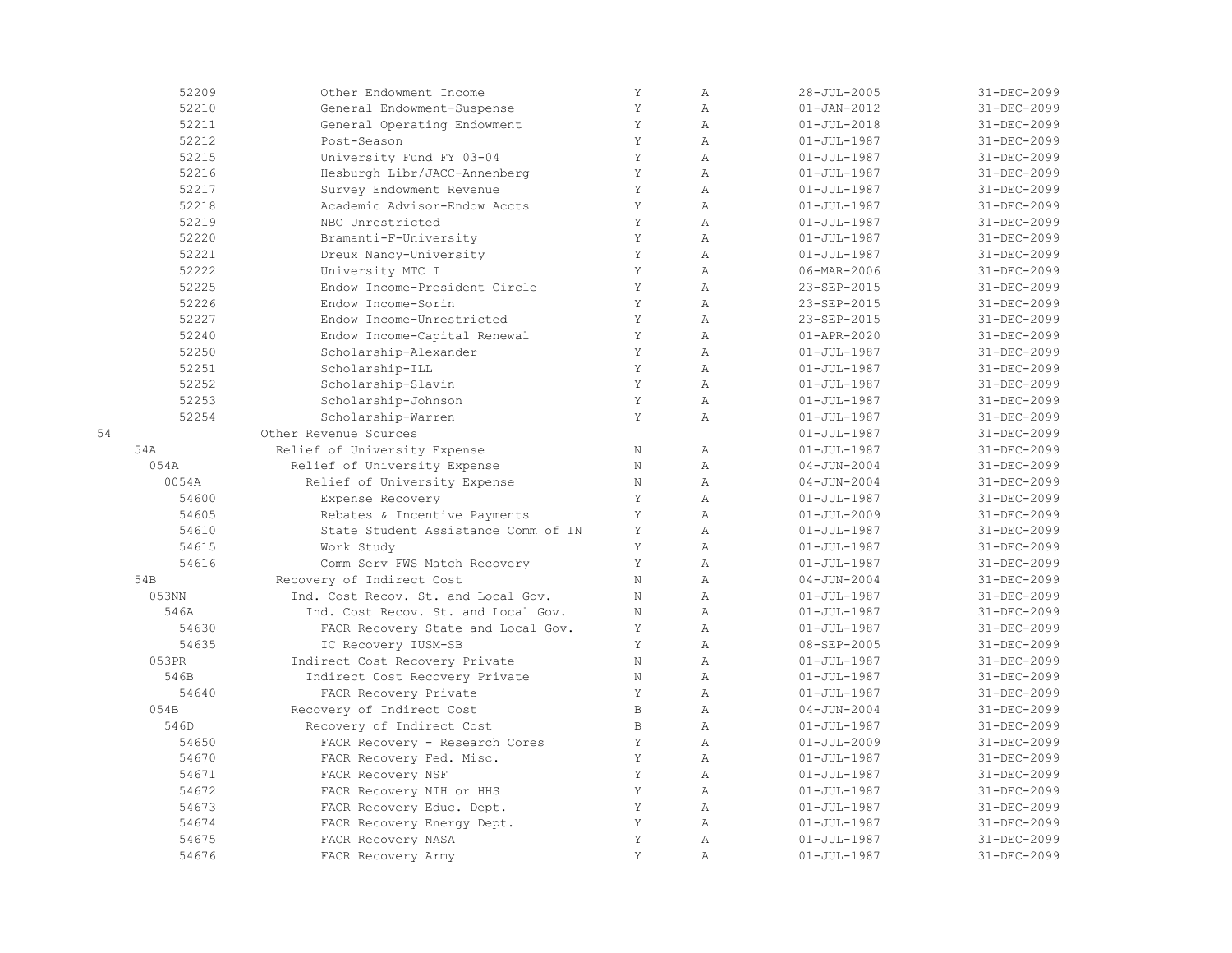|    | 52209           | Other Endowment Income              | Y            | Α              | $28 - JUL - 2005$ | 31-DEC-2099 |
|----|-----------------|-------------------------------------|--------------|----------------|-------------------|-------------|
|    | 52210           | General Endowment-Suspense          | Y            | A              | $01 - JAN - 2012$ | 31-DEC-2099 |
|    | 52211           | General Operating Endowment         | Y            | $\mathbb{A}$   | $01 - JUL - 2018$ | 31-DEC-2099 |
|    | 52212           | Post-Season                         | Y            | $\mathbb{A}$   | $01 - JUL - 1987$ | 31-DEC-2099 |
|    | 52215           | University Fund FY 03-04            | Y            | $\mathbb{A}$   | $01 - JUL - 1987$ | 31-DEC-2099 |
|    | 52216           | Hesburgh Libr/JACC-Annenberg        | Y            | A              | $01 - JUL - 1987$ | 31-DEC-2099 |
|    | 52217           | Survey Endowment Revenue            | Y            | $\lambda$      | $01 - JUL - 1987$ | 31-DEC-2099 |
|    | 52218           | Academic Advisor-Endow Accts        | Y            | $\mathbb{A}$   | $01 - JUL - 1987$ | 31-DEC-2099 |
|    | 52219           | NBC Unrestricted                    | Y            | $\mathbb{A}$   | $01 - JUL - 1987$ | 31-DEC-2099 |
|    | 52220           | Bramanti-F-University               | Y            | $\overline{A}$ | $01 - JUL - 1987$ | 31-DEC-2099 |
|    | 52221           | Dreux Nancy-University              | Y            | $\mathbb{A}$   | $01 - JUL - 1987$ | 31-DEC-2099 |
|    | 52222           | University MTC I                    | Y            | Α              | 06-MAR-2006       | 31-DEC-2099 |
|    | 52225           | Endow Income-President Circle       | Y            | A              | 23-SEP-2015       | 31-DEC-2099 |
|    | 52226           | Endow Income-Sorin                  | Y            | A              | 23-SEP-2015       | 31-DEC-2099 |
|    | 52227           | Endow Income-Unrestricted           | Y            | $\lambda$      | 23-SEP-2015       | 31-DEC-2099 |
|    | 52240           | Endow Income-Capital Renewal        | Y            | $\mathbb{A}$   | $01 - APR - 2020$ | 31-DEC-2099 |
|    | 52250           | Scholarship-Alexander               | Y            | $\mathbb{A}$   | $01 - JUL - 1987$ | 31-DEC-2099 |
|    | 52251           | Scholarship-ILL                     | Y            | $\mathbb{A}$   | $01 - JUL - 1987$ | 31-DEC-2099 |
|    | 52252           | Scholarship-Slavin                  | Y            | $\lambda$      | $01 - JUL - 1987$ | 31-DEC-2099 |
|    | 52253           | Scholarship-Johnson                 | Y            | $\mathbb{A}$   | $01 - JUL - 1987$ | 31-DEC-2099 |
|    | 52254           | Scholarship-Warren                  | Y            | A              | $01 - JUL - 1987$ | 31-DEC-2099 |
| 54 |                 | Other Revenue Sources               |              |                | $01 - JUL - 1987$ | 31-DEC-2099 |
|    | 54A             | Relief of University Expense        | $\rm N$      | $\mathbb{A}$   | $01 - JUL - 1987$ | 31-DEC-2099 |
|    | 054A            | Relief of University Expense        | N            | Α              | $04 - JUN - 2004$ | 31-DEC-2099 |
|    | 0054A           | Relief of University Expense        | Ν            | Α              | $04 - JUN - 2004$ | 31-DEC-2099 |
|    | 54600           | Expense Recovery                    | Y            | $\lambda$      | $01 - JUL - 1987$ | 31-DEC-2099 |
|    | 54605           | Rebates & Incentive Payments        | Y            | $\mathbb{A}$   | $01 - JUL - 2009$ | 31-DEC-2099 |
|    | 54610           | State Student Assistance Comm of IN | Y            | $\overline{A}$ | $01 - JUL - 1987$ | 31-DEC-2099 |
|    | 54615           | Work Study                          | Y            | A              | $01 - JUL - 1987$ | 31-DEC-2099 |
|    | 54616           | Comm Serv FWS Match Recovery        | Y            | A              | $01 - JUL - 1987$ | 31-DEC-2099 |
|    | 54 <sub>B</sub> | Recovery of Indirect Cost           | N            | $\lambda$      | $04 - JUN - 2004$ | 31-DEC-2099 |
|    | 053NN           | Ind. Cost Recov. St. and Local Gov. | N            | $\mathbb{A}$   | $01 - JUL - 1987$ | 31-DEC-2099 |
|    | 546A            | Ind. Cost Recov. St. and Local Gov. | N            | A              | $01 - JUL - 1987$ | 31-DEC-2099 |
|    | 54630           | FACR Recovery State and Local Gov.  | Y            | Α              | $01 - JUL - 1987$ | 31-DEC-2099 |
|    | 54635           | IC Recovery IUSM-SB                 | Y            | $\mathbb{A}$   | 08-SEP-2005       | 31-DEC-2099 |
|    | 053PR           | Indirect Cost Recovery Private      | $\rm N$      | Α              | $01 - JUL - 1987$ | 31-DEC-2099 |
|    | 546B            | Indirect Cost Recovery Private      | $\rm N$      | $\lambda$      | $01 - JUL - 1987$ | 31-DEC-2099 |
|    | 54640           | FACR Recovery Private               | Y            | $\lambda$      | $01 - JUL - 1987$ | 31-DEC-2099 |
|    | 054B            | Recovery of Indirect Cost           | $\mathbb B$  | $\mathbb{A}$   | $04 - JUN - 2004$ | 31-DEC-2099 |
|    | 546D            | Recovery of Indirect Cost           | $\, {\bf B}$ | Α              | $01 - JUL - 1987$ | 31-DEC-2099 |
|    | 54650           | FACR Recovery - Research Cores      | Y            | A              | $01 - JUL - 2009$ | 31-DEC-2099 |
|    | 54670           | FACR Recovery Fed. Misc.            | Y            | $\mathbb{A}$   | $01 - JUL - 1987$ | 31-DEC-2099 |
|    | 54671           | FACR Recovery NSF                   | Y            | Α              | $01 - JUL - 1987$ | 31-DEC-2099 |
|    | 54672           | FACR Recovery NIH or HHS            | Y            | $\mathbb{A}$   | $01 - JUL - 1987$ | 31-DEC-2099 |
|    | 54673           | FACR Recovery Educ. Dept.           | Y            | Α              | $01 - JUL - 1987$ | 31-DEC-2099 |
|    | 54674           | FACR Recovery Energy Dept.          | Y            | $\lambda$      | $01 - JUL - 1987$ | 31-DEC-2099 |
|    | 54675           | FACR Recovery NASA                  | Y            | $\overline{A}$ | $01 - JUL - 1987$ | 31-DEC-2099 |
|    | 54676           | FACR Recovery Army                  | Y            | $\mathbb{A}$   | $01 - JUL - 1987$ | 31-DEC-2099 |
|    |                 |                                     |              |                |                   |             |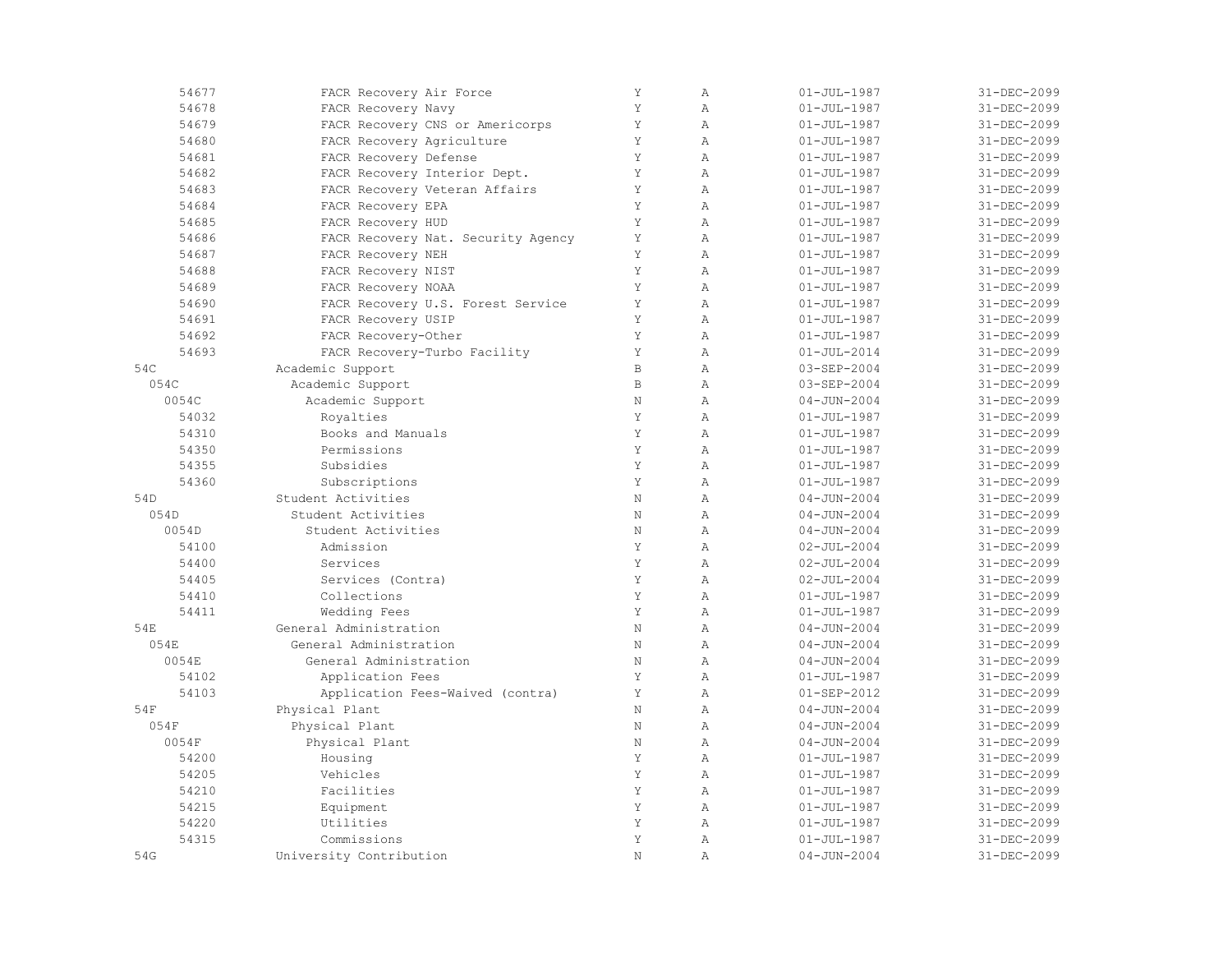| 54677           | FACR Recovery Air Force            | Y            | $\mathbb{A}$   | $01 - JUL - 1987$ | 31-DEC-2099 |
|-----------------|------------------------------------|--------------|----------------|-------------------|-------------|
| 54678           | FACR Recovery Navy                 | Y            | $\mathbb{A}$   | $01 - JUL - 1987$ | 31-DEC-2099 |
| 54679           | FACR Recovery CNS or Americorps    | Y            | $\mathbb{A}$   | $01 - JUL - 1987$ | 31-DEC-2099 |
| 54680           | FACR Recovery Agriculture          | Y            | $\mathbb{A}$   | $01 - JUL - 1987$ | 31-DEC-2099 |
| 54681           | FACR Recovery Defense              | Y            | $\overline{A}$ | $01 - JUL - 1987$ | 31-DEC-2099 |
| 54682           | FACR Recovery Interior Dept.       | Y            | $\mathbb{A}$   | $01 - JUL - 1987$ | 31-DEC-2099 |
| 54683           | FACR Recovery Veteran Affairs      | $\mathbf Y$  | $\mathbb{A}$   | $01 - JUL - 1987$ | 31-DEC-2099 |
| 54684           | FACR Recovery EPA                  | Y            | $\mathbb{A}$   | $01 - JUL - 1987$ | 31-DEC-2099 |
| 54685           | FACR Recovery HUD                  | Y            | $\mathbb{A}$   | $01 - JUL - 1987$ | 31-DEC-2099 |
| 54686           | FACR Recovery Nat. Security Agency | Y            | $\overline{A}$ | $01 - JUL - 1987$ | 31-DEC-2099 |
| 54687           | FACR Recovery NEH                  | Y            | $\mathbb{A}$   | $01 - JUL - 1987$ | 31-DEC-2099 |
| 54688           | FACR Recovery NIST                 | Y            | $\overline{A}$ | $01 - JUL - 1987$ | 31-DEC-2099 |
| 54689           | FACR Recovery NOAA                 | Y            | $\overline{A}$ | $01 - JUL - 1987$ | 31-DEC-2099 |
| 54690           | FACR Recovery U.S. Forest Service  | Y            | $\overline{A}$ | $01 - JUL - 1987$ | 31-DEC-2099 |
| 54691           | FACR Recovery USIP                 | Y            | $\mathbb{A}$   | $01 - JUL - 1987$ | 31-DEC-2099 |
| 54692           | FACR Recovery-Other                | Y            | $\mathbb{A}$   | $01 - JUL - 1987$ | 31-DEC-2099 |
| 54693           | FACR Recovery-Turbo Facility       | Y            | $\mathbb{A}$   | $01 - JUL - 2014$ | 31-DEC-2099 |
| 54C             | Academic Support                   | $\, {\bf B}$ | $\overline{A}$ | 03-SEP-2004       | 31-DEC-2099 |
| 054C            | Academic Support                   | $\,$ B       | $\overline{A}$ | 03-SEP-2004       | 31-DEC-2099 |
| 0054C           | Academic Support                   | $\rm N$      | $\overline{A}$ | $04 - JUN - 2004$ | 31-DEC-2099 |
| 54032           | Royalties                          | Y            | $\overline{A}$ | $01 - JUL - 1987$ | 31-DEC-2099 |
| 54310           | Books and Manuals                  | Y            | $\overline{A}$ | $01 - JUL - 1987$ | 31-DEC-2099 |
| 54350           | Permissions                        | Y            | $\mathbb{A}$   | $01 - JUL - 1987$ | 31-DEC-2099 |
| 54355           | Subsidies                          | $\mathbf Y$  | $\mathbb{A}$   | $01 - JUL - 1987$ | 31-DEC-2099 |
| 54360           | Subscriptions                      | Y            | $\mathbb{A}$   | $01 - JUL - 1987$ | 31-DEC-2099 |
| 54 <sub>D</sub> | Student Activities                 | N            | $\overline{A}$ | $04 - JUN - 2004$ | 31-DEC-2099 |
| 054D            | Student Activities                 | $\rm N$      | $\mathbb{A}$   | $04 - JUN - 2004$ | 31-DEC-2099 |
| 0054D           | Student Activities                 | $\mathbf N$  | $\overline{A}$ | $04 - JUN - 2004$ | 31-DEC-2099 |
| 54100           | Admission                          | Y            | $\mathbb{A}$   | $02 - JUL - 2004$ | 31-DEC-2099 |
| 54400           | Services                           | Y            | $\mathbb{A}$   | $02 - JUL - 2004$ | 31-DEC-2099 |
| 54405           | Services (Contra)                  | Y            | $\mathbb{A}$   | $02 - JUL - 2004$ | 31-DEC-2099 |
| 54410           | Collections                        | $\mathbf Y$  | $\mathbb{A}$   | $01 - JUL - 1987$ | 31-DEC-2099 |
| 54411           | Wedding Fees                       | Y            | $\mathbb{A}$   | $01 - JUL - 1987$ | 31-DEC-2099 |
| 54E             | General Administration             | $\rm N$      | $\overline{A}$ | $04 - JUN - 2004$ | 31-DEC-2099 |
| 054E            | General Administration             | N            | $\overline{A}$ | $04 - JUN - 2004$ | 31-DEC-2099 |
| 0054E           | General Administration             | N            | $\mathbb{A}$   | $04 - JUN - 2004$ | 31-DEC-2099 |
| 54102           | Application Fees                   | Y            | $\mathbb{A}$   | $01 - JUL - 1987$ | 31-DEC-2099 |
| 54103           | Application Fees-Waived (contra)   | Y            | $\mathbb{A}$   | $01 - SEP - 2012$ | 31-DEC-2099 |
| 54F             | Physical Plant                     | $\rm N$      | $\mathbb{A}$   | $04 - JUN - 2004$ | 31-DEC-2099 |
| 054F            | Physical Plant                     | $\rm N$      | $\mathbb{A}$   | $04 - JUN - 2004$ | 31-DEC-2099 |
| 0054F           | Physical Plant                     | $\rm N$      | $\mathbb{A}$   | $04 - JUN - 2004$ | 31-DEC-2099 |
| 54200           | Housing                            | Y            | $\overline{A}$ | $01 - JUL - 1987$ | 31-DEC-2099 |
| 54205           | Vehicles                           | Y            | $\mathbb{A}$   | $01 - JUL - 1987$ | 31-DEC-2099 |
| 54210           | Facilities                         | Y            | $\mathbb{A}$   | $01 - JUL - 1987$ | 31-DEC-2099 |
| 54215           | Equipment                          | Y            | $\mathbb{A}$   | $01 - JUL - 1987$ | 31-DEC-2099 |
| 54220           | Utilities                          | Y            | $\mathbb{A}$   | $01 - JUL - 1987$ | 31-DEC-2099 |
| 54315           | Commissions                        | $\mathbf Y$  | $\mathbb{A}$   | $01 - JUL - 1987$ | 31-DEC-2099 |
| 54G             | University Contribution            | $\rm N$      | Α              | $04 - JUN - 2004$ | 31-DEC-2099 |
|                 |                                    |              |                |                   |             |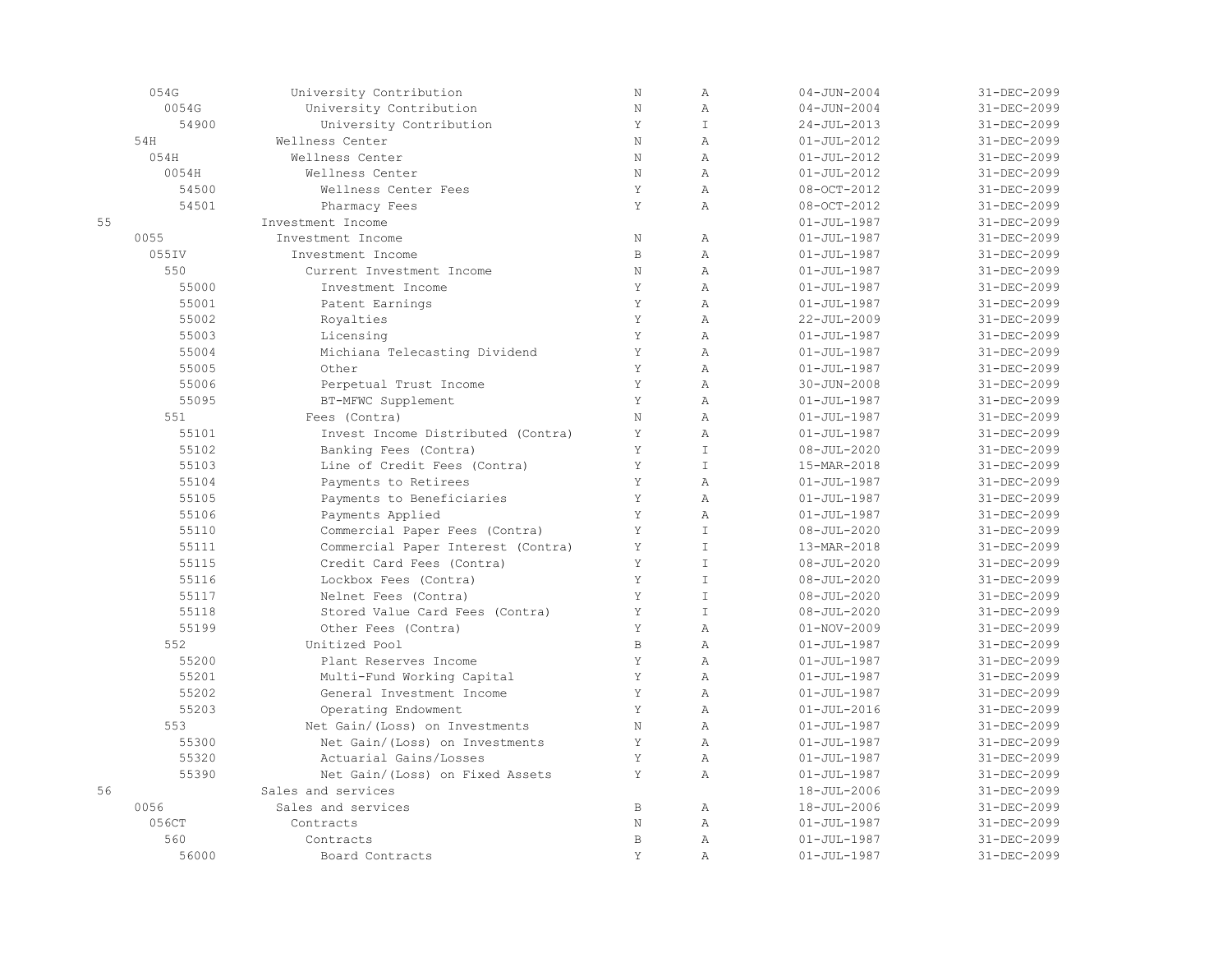|    | 054G  | University Contribution            | $\rm N$     | $\mathbb{A}$   | $04 - JUN - 2004$ | 31-DEC-2099 |
|----|-------|------------------------------------|-------------|----------------|-------------------|-------------|
|    | 0054G | University Contribution            | $\rm N$     | $\mathbb{A}$   | $04 - JUN - 2004$ | 31-DEC-2099 |
|    | 54900 | University Contribution            | Y           | $\mathbbm{I}$  | $24 - JUL - 2013$ | 31-DEC-2099 |
|    | 54H   | Wellness Center                    | $\mathbf N$ | $\overline{A}$ | $01 - JUL - 2012$ | 31-DEC-2099 |
|    | 054H  | Wellness Center                    | N           | $\overline{A}$ | $01 - JUL - 2012$ | 31-DEC-2099 |
|    | 0054H | Wellness Center                    | N           | $\lambda$      | $01 - JUL - 2012$ | 31-DEC-2099 |
|    | 54500 | Wellness Center Fees               | Y           | $\mathbb{A}$   | 08-OCT-2012       | 31-DEC-2099 |
|    | 54501 | Pharmacy Fees                      | Y           | $\overline{A}$ | 08-OCT-2012       | 31-DEC-2099 |
| 55 |       | Investment Income                  |             |                | $01 - JUL - 1987$ | 31-DEC-2099 |
|    | 0055  | Investment Income                  | $\rm N$     | $\mathbb{A}$   | $01 - JUL - 1987$ | 31-DEC-2099 |
|    | 055IV | Investment Income                  | $\,$ B      | $\mathbb{A}$   | $01 - JUL - 1987$ | 31-DEC-2099 |
|    | 550   | Current Investment Income          | $\rm N$     | $\mathbb{A}$   | $01 - JUL - 1987$ | 31-DEC-2099 |
|    | 55000 | Investment Income                  | Y           | $\mathbb{A}$   | $01 - JUL - 1987$ | 31-DEC-2099 |
|    | 55001 | Patent Earnings                    | Y           | $\mathbb{A}$   | $01 - JUL - 1987$ | 31-DEC-2099 |
|    | 55002 | Royalties                          | Y           | $\mathbb{A}$   | 22-JUL-2009       | 31-DEC-2099 |
|    | 55003 | Licensing                          | Y           | $\overline{A}$ | $01 - JUL - 1987$ | 31-DEC-2099 |
|    | 55004 | Michiana Telecasting Dividend      | Y           | $\overline{A}$ | $01 - JUL - 1987$ | 31-DEC-2099 |
|    | 55005 | Other                              | Y           | $\lambda$      | $01 - JUL - 1987$ | 31-DEC-2099 |
|    | 55006 | Perpetual Trust Income             | Y           | $\lambda$      | $30 - JUN - 2008$ | 31-DEC-2099 |
|    | 55095 | BT-MFWC Supplement                 | Y           | $\overline{A}$ | $01 - JUL - 1987$ | 31-DEC-2099 |
|    | 551   | Fees (Contra)                      | N           | $\overline{A}$ | $01 - JUL - 1987$ | 31-DEC-2099 |
|    | 55101 | Invest Income Distributed (Contra) | Y           | $\mathbb{A}$   | $01 - JUL - 1987$ | 31-DEC-2099 |
|    | 55102 | Banking Fees (Contra)              | Y           | $\mathbbm{I}$  | $08 - JUL - 2020$ | 31-DEC-2099 |
|    | 55103 | Line of Credit Fees (Contra)       | Y           | $\mathbbm{I}$  | 15-MAR-2018       | 31-DEC-2099 |
|    | 55104 | Payments to Retirees               | Y           | $\mathbb{A}$   | $01 - JUL - 1987$ | 31-DEC-2099 |
|    | 55105 | Payments to Beneficiaries          | Y           | $\mathbb{A}$   | $01 - JUL - 1987$ | 31-DEC-2099 |
|    | 55106 | Payments Applied                   | Y           | $\lambda$      | $01 - JUL - 1987$ | 31-DEC-2099 |
|    | 55110 | Commercial Paper Fees (Contra)     | Y           | $\mathsf{T}$   | $08 - JUL - 2020$ | 31-DEC-2099 |
|    | 55111 | Commercial Paper Interest (Contra) | Y           | $\mathsf{T}$   | 13-MAR-2018       | 31-DEC-2099 |
|    | 55115 | Credit Card Fees (Contra)          | Y           | $\top$         | $08 - JUL - 2020$ | 31-DEC-2099 |
|    | 55116 | Lockbox Fees (Contra)              | Y           | $\top$         | $08 - JUL - 2020$ | 31-DEC-2099 |
|    | 55117 | Nelnet Fees (Contra)               | Y           | $\mathbbm{I}$  | $08 - JUL - 2020$ | 31-DEC-2099 |
|    | 55118 | Stored Value Card Fees (Contra)    | Y           | $\mathbbm{I}$  | $08 - JUL - 2020$ | 31-DEC-2099 |
|    | 55199 | Other Fees (Contra)                | Y           | $\overline{A}$ | $01 - NOV - 2009$ | 31-DEC-2099 |
|    | 552   | Unitized Pool                      | $\mathbb B$ | $\mathbb{A}$   | $01 - JUL - 1987$ | 31-DEC-2099 |
|    | 55200 | Plant Reserves Income              | Y           | $\mathbb{A}$   | $01 - JUL - 1987$ | 31-DEC-2099 |
|    | 55201 | Multi-Fund Working Capital         | Y           | $\overline{A}$ | $01 - JUL - 1987$ | 31-DEC-2099 |
|    | 55202 | General Investment Income          | Y           | $\overline{A}$ | $01 - JUL - 1987$ | 31-DEC-2099 |
|    | 55203 | Operating Endowment                | Y           | $\lambda$      | $01 - JUL - 2016$ | 31-DEC-2099 |
|    | 553   | Net Gain/(Loss) on Investments     | N           | $\mathbb{A}$   | $01 - JUL - 1987$ | 31-DEC-2099 |
|    | 55300 | Net Gain/(Loss) on Investments     | Y           | $\overline{A}$ | $01 - JUL - 1987$ | 31-DEC-2099 |
|    | 55320 | Actuarial Gains/Losses             | Y           | $\overline{A}$ | $01 - JUL - 1987$ | 31-DEC-2099 |
|    | 55390 | Net Gain/(Loss) on Fixed Assets    | Y           | $\overline{A}$ | $01 - JUL - 1987$ | 31-DEC-2099 |
| 56 |       | Sales and services                 |             |                | 18-JUL-2006       | 31-DEC-2099 |
|    | 0056  | Sales and services                 | $\mathbb B$ | $\mathbb{A}$   | 18-JUL-2006       | 31-DEC-2099 |
|    | 056CT | Contracts                          | N           | $\mathbb{A}$   | $01 - JUL - 1987$ | 31-DEC-2099 |
|    | 560   | Contracts                          | $\mathbf B$ | $\mathbb{A}$   | $01 - JUL - 1987$ | 31-DEC-2099 |
|    | 56000 | Board Contracts                    | Y           | $\overline{A}$ | $01 - JUL - 1987$ | 31-DEC-2099 |
|    |       |                                    |             |                |                   |             |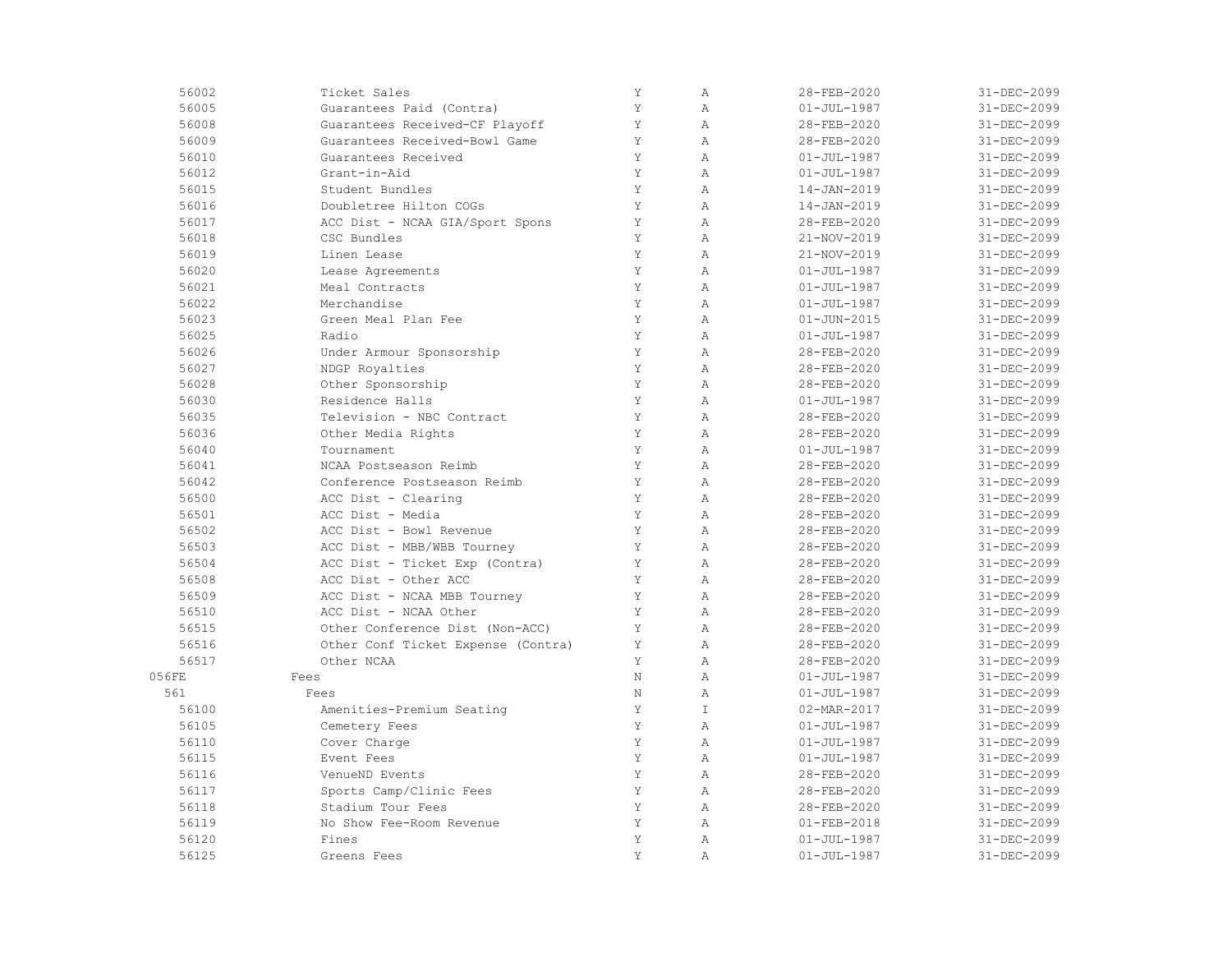| 56002 | Ticket Sales                       | Y           | $\mathbb{A}$   | 28-FEB-2020       | 31-DEC-2099 |
|-------|------------------------------------|-------------|----------------|-------------------|-------------|
| 56005 | Guarantees Paid (Contra)           | Y           | $\overline{A}$ | $01 - JUL - 1987$ | 31-DEC-2099 |
| 56008 | Guarantees Received-CF Playoff     | Y           | $\mathbb{A}$   | 28-FEB-2020       | 31-DEC-2099 |
| 56009 | Guarantees Received-Bowl Game      | Υ           | $\mathbb{A}$   | 28-FEB-2020       | 31-DEC-2099 |
| 56010 | Guarantees Received                | Y           | $\mathbb{A}$   | $01 - JUL - 1987$ | 31-DEC-2099 |
| 56012 | Grant-in-Aid                       | Y           | $\mathbb{A}$   | $01 - JUL - 1987$ | 31-DEC-2099 |
| 56015 | Student Bundles                    | Y           | $\mathbb{A}$   | 14-JAN-2019       | 31-DEC-2099 |
| 56016 | Doubletree Hilton COGs             | Y           | $\mathbb{A}$   | 14-JAN-2019       | 31-DEC-2099 |
| 56017 | ACC Dist - NCAA GIA/Sport Spons    | Y           | $\mathbb{A}$   | 28-FEB-2020       | 31-DEC-2099 |
| 56018 | CSC Bundles                        | Y           | $\overline{A}$ | 21-NOV-2019       | 31-DEC-2099 |
| 56019 | Linen Lease                        | Y           | $\mathbb{A}$   | 21-NOV-2019       | 31-DEC-2099 |
| 56020 | Lease Agreements                   | Y           | $\mathbb{A}$   | $01 - JUL - 1987$ | 31-DEC-2099 |
| 56021 | Meal Contracts                     | Y           | $\mathbb{A}$   | $01 - JUL - 1987$ | 31-DEC-2099 |
| 56022 | Merchandise                        | Y           | $\mathbb{A}$   | $01 - JUL - 1987$ | 31-DEC-2099 |
| 56023 | Green Meal Plan Fee                | Y           | $\mathbb{A}$   | $01 - JUN - 2015$ | 31-DEC-2099 |
| 56025 | Radio                              | Y           | $\mathbb{A}$   | $01 - JUL - 1987$ | 31-DEC-2099 |
| 56026 | Under Armour Sponsorship           | Y           | $\mathbb{A}$   | 28-FEB-2020       | 31-DEC-2099 |
| 56027 | NDGP Royalties                     | Y           | Α              | 28-FEB-2020       | 31-DEC-2099 |
| 56028 | Other Sponsorship                  | Y           | $\mathbb{A}$   | 28-FEB-2020       | 31-DEC-2099 |
| 56030 | Residence Halls                    | Y           | $\mathbb{A}$   | $01 - JUL - 1987$ | 31-DEC-2099 |
| 56035 | Television - NBC Contract          | Y           | $\mathbb{A}$   | 28-FEB-2020       | 31-DEC-2099 |
| 56036 | Other Media Rights                 | Y           | $\overline{A}$ | 28-FEB-2020       | 31-DEC-2099 |
| 56040 | Tournament                         | Y           | $\overline{A}$ | $01 - JUL - 1987$ | 31-DEC-2099 |
| 56041 | NCAA Postseason Reimb              | Y           | $\mathbb{A}$   | 28-FEB-2020       | 31-DEC-2099 |
| 56042 | Conference Postseason Reimb        | Y           | $\mathbb{A}$   | 28-FEB-2020       | 31-DEC-2099 |
| 56500 | ACC Dist - Clearing                | Y           | $\mathbb{A}$   | 28-FEB-2020       | 31-DEC-2099 |
| 56501 | ACC Dist - Media                   | Y           | $\mathbb{A}$   | 28-FEB-2020       | 31-DEC-2099 |
| 56502 | ACC Dist - Bowl Revenue            | Y           | $\mathbb{A}$   | 28-FEB-2020       | 31-DEC-2099 |
| 56503 | ACC Dist - MBB/WBB Tourney         | $\mathbf Y$ | $\mathbb{A}$   | 28-FEB-2020       | 31-DEC-2099 |
| 56504 | ACC Dist - Ticket Exp (Contra)     | Y           | $\overline{A}$ | 28-FEB-2020       | 31-DEC-2099 |
| 56508 | ACC Dist - Other ACC               | Y           | $\mathbb{A}$   | 28-FEB-2020       | 31-DEC-2099 |
| 56509 | ACC Dist - NCAA MBB Tourney        | Y           | Α              | 28-FEB-2020       | 31-DEC-2099 |
| 56510 | ACC Dist - NCAA Other              | Y           | $\mathbb{A}$   | 28-FEB-2020       | 31-DEC-2099 |
| 56515 | Other Conference Dist (Non-ACC)    | Y           | $\mathbb{A}$   | 28-FEB-2020       | 31-DEC-2099 |
| 56516 | Other Conf Ticket Expense (Contra) | $\mathbf Y$ | Α              | 28-FEB-2020       | 31-DEC-2099 |
| 56517 | Other NCAA                         | Y           | $\mathbb{A}$   | 28-FEB-2020       | 31-DEC-2099 |
| 056FE | Fees                               | N           | $\overline{A}$ | $01 - JUL - 1987$ | 31-DEC-2099 |
| 561   | Fees                               | N           | $\mathbb{A}$   | $01 - JUL - 1987$ | 31-DEC-2099 |
| 56100 | Amenities-Premium Seating          | $\mathbf Y$ | $\mathbbm{I}$  | 02-MAR-2017       | 31-DEC-2099 |
| 56105 | Cemetery Fees                      | Y           | $\mathbb{A}$   | $01 - JUL - 1987$ | 31-DEC-2099 |
| 56110 | Cover Charge                       | Y           | $\mathbb{A}$   | $01 - JUL - 1987$ | 31-DEC-2099 |
| 56115 | Event Fees                         | Y           | $\overline{A}$ | $01 - JUL - 1987$ | 31-DEC-2099 |
| 56116 | VenueND Events                     | Y           | $\mathbb{A}$   | 28-FEB-2020       | 31-DEC-2099 |
| 56117 | Sports Camp/Clinic Fees            | Y           | $\mathbb{A}$   | 28-FEB-2020       | 31-DEC-2099 |
| 56118 | Stadium Tour Fees                  | Y           | $\mathbb{A}$   | 28-FEB-2020       | 31-DEC-2099 |
| 56119 | No Show Fee-Room Revenue           | Y           | $\mathbb{A}$   | $01 - FEB - 2018$ | 31-DEC-2099 |
| 56120 | Fines                              | Y           | $\mathbb{A}$   | $01 - JUL - 1987$ | 31-DEC-2099 |
| 56125 | Greens Fees                        | Y           | $\mathbb{A}$   | $01 - JUL - 1987$ | 31-DEC-2099 |
|       |                                    |             |                |                   |             |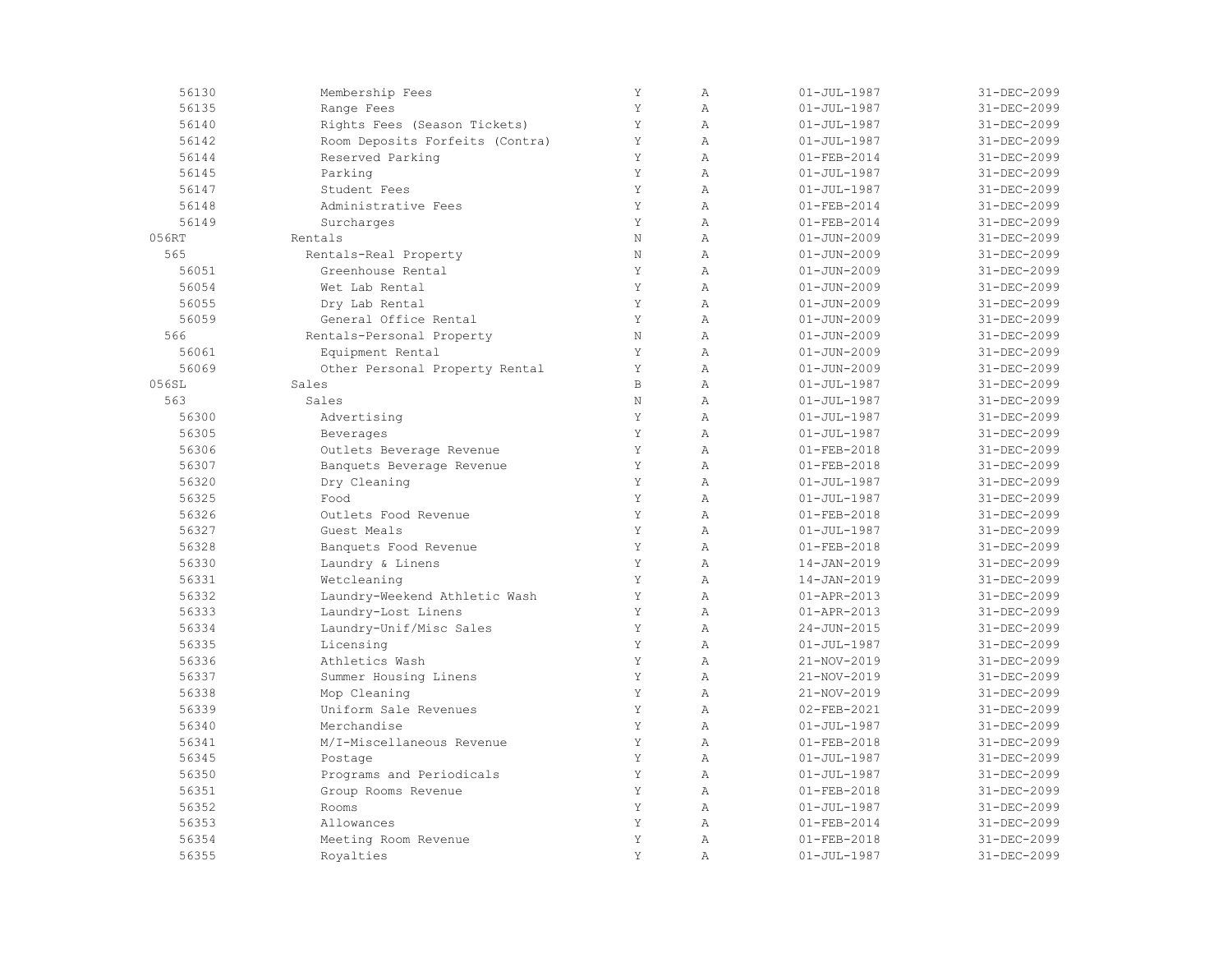| 56130 | Membership Fees                 | Y           | $\mathbb{A}$   | $01 - JUL - 1987$ | 31-DEC-2099 |
|-------|---------------------------------|-------------|----------------|-------------------|-------------|
| 56135 | Range Fees                      | Y           | $\overline{A}$ | $01 - JUL - 1987$ | 31-DEC-2099 |
| 56140 | Rights Fees (Season Tickets)    | Y           | $\mathbb{A}$   | $01 - JUL - 1987$ | 31-DEC-2099 |
| 56142 | Room Deposits Forfeits (Contra) | Υ           | $\mathbb{A}$   | $01 - JUL - 1987$ | 31-DEC-2099 |
| 56144 | Reserved Parking                | Y           | $\mathbb{A}$   | $01 - FEB - 2014$ | 31-DEC-2099 |
| 56145 | Parking                         | Y           | $\overline{A}$ | $01 - JUL - 1987$ | 31-DEC-2099 |
| 56147 | Student Fees                    | $\mathbf Y$ | $\mathbb{A}$   | $01 - JUL - 1987$ | 31-DEC-2099 |
| 56148 | Administrative Fees             | Y           | $\mathbb{A}$   | $01 - FEB - 2014$ | 31-DEC-2099 |
| 56149 | Surcharges                      | Y           | $\overline{A}$ | $01 - FEB - 2014$ | 31-DEC-2099 |
| 056RT | Rentals                         | $\rm N$     | $\overline{A}$ | $01 - JUN - 2009$ | 31-DEC-2099 |
| 565   | Rentals-Real Property           | $\rm N$     | $\mathbb{A}$   | $01 - JUN - 2009$ | 31-DEC-2099 |
| 56051 | Greenhouse Rental               | Y           | $\mathbb{A}$   | $01 - JUN - 2009$ | 31-DEC-2099 |
| 56054 | Wet Lab Rental                  | Y           | $\mathbb{A}$   | $01 - JUN - 2009$ | 31-DEC-2099 |
| 56055 | Dry Lab Rental                  | Y           | $\overline{A}$ | $01 - JUN - 2009$ | 31-DEC-2099 |
| 56059 | General Office Rental           | Y           | $\mathbb{A}$   | $01 - JUN - 2009$ | 31-DEC-2099 |
| 566   | Rentals-Personal Property       | N           | $\mathbb{A}$   | $01 - JUN - 2009$ | 31-DEC-2099 |
| 56061 | Equipment Rental                | Y           | $\overline{A}$ | $01 - JUN - 2009$ | 31-DEC-2099 |
| 56069 | Other Personal Property Rental  | Y           | $\overline{A}$ | $01 - JUN - 2009$ | 31-DEC-2099 |
| 056SL | Sales                           | $\,$ B      | $\overline{A}$ | $01 - JUL - 1987$ | 31-DEC-2099 |
| 563   | Sales                           | $\rm N$     | $\mathbb{A}$   | $01 - JUL - 1987$ | 31-DEC-2099 |
| 56300 | Advertising                     | Y           | $\mathbb{A}$   | $01 - JUL - 1987$ | 31-DEC-2099 |
| 56305 | Beverages                       | Y           | $\overline{A}$ | $01 - JUL - 1987$ | 31-DEC-2099 |
| 56306 | Outlets Beverage Revenue        | Y           | $\overline{A}$ | $01 - FEB - 2018$ | 31-DEC-2099 |
| 56307 | Banquets Beverage Revenue       | Y           | $\mathbb{A}$   | $01 - FEB - 2018$ | 31-DEC-2099 |
| 56320 | Dry Cleaning                    | Y           | $\mathbb{A}$   | $01 - JUL - 1987$ | 31-DEC-2099 |
| 56325 | Food                            | Y           | $\overline{A}$ | $01 - JUL - 1987$ | 31-DEC-2099 |
| 56326 | Outlets Food Revenue            | Y           | $\mathbb{A}$   | $01 - FEB - 2018$ | 31-DEC-2099 |
| 56327 | Guest Meals                     | Y           | $\mathbb{A}$   | $01 - JUL - 1987$ | 31-DEC-2099 |
| 56328 | Banquets Food Revenue           | Y           | $\overline{A}$ | $01 - FEB - 2018$ | 31-DEC-2099 |
| 56330 | Laundry & Linens                | Y           | $\overline{A}$ | 14-JAN-2019       | 31-DEC-2099 |
| 56331 | Wetcleaning                     | Y           | $\overline{A}$ | 14-JAN-2019       | 31-DEC-2099 |
| 56332 | Laundry-Weekend Athletic Wash   | Y           | $\mathbb{A}$   | 01-APR-2013       | 31-DEC-2099 |
| 56333 | Laundry-Lost Linens             | $\mathbf Y$ | $\mathbb{A}$   | 01-APR-2013       | 31-DEC-2099 |
| 56334 | Laundry-Unif/Misc Sales         | Y           | $\mathbb{A}$   | 24-JUN-2015       | 31-DEC-2099 |
| 56335 | Licensing                       | Y           | $\mathbb{A}$   | $01 - JUL - 1987$ | 31-DEC-2099 |
| 56336 | Athletics Wash                  | Y           | $\mathbb{A}$   | 21-NOV-2019       | 31-DEC-2099 |
| 56337 | Summer Housing Linens           | Y           | $\overline{A}$ | 21-NOV-2019       | 31-DEC-2099 |
| 56338 | Mop Cleaning                    | Y           | $\overline{A}$ | 21-NOV-2019       | 31-DEC-2099 |
| 56339 | Uniform Sale Revenues           | $\mathbf Y$ | $\mathbb{A}$   | 02-FEB-2021       | 31-DEC-2099 |
| 56340 | Merchandise                     | Y           | $\mathbb{A}$   | $01 - JUL - 1987$ | 31-DEC-2099 |
| 56341 | M/I-Miscellaneous Revenue       | Y           | $\mathbb{A}$   | $01 - FEB - 2018$ | 31-DEC-2099 |
| 56345 | Postage                         | Y           | $\overline{A}$ | $01 - JUL - 1987$ | 31-DEC-2099 |
| 56350 | Programs and Periodicals        | Y           | $\overline{A}$ | $01 - JUL - 1987$ | 31-DEC-2099 |
| 56351 | Group Rooms Revenue             | Y           | $\mathbb{A}$   | $01 - FEB - 2018$ | 31-DEC-2099 |
| 56352 | Rooms                           | Y           | $\mathbb{A}$   | $01 - JUL - 1987$ | 31-DEC-2099 |
| 56353 | Allowances                      | Y           | $\overline{A}$ | $01 - FEB - 2014$ | 31-DEC-2099 |
| 56354 | Meeting Room Revenue            | Y           | $\mathbb{A}$   | $01 - FEB - 2018$ | 31-DEC-2099 |
| 56355 | Royalties                       | Y           | $\mathbb{A}$   | $01 - JUL - 1987$ | 31-DEC-2099 |
|       |                                 |             |                |                   |             |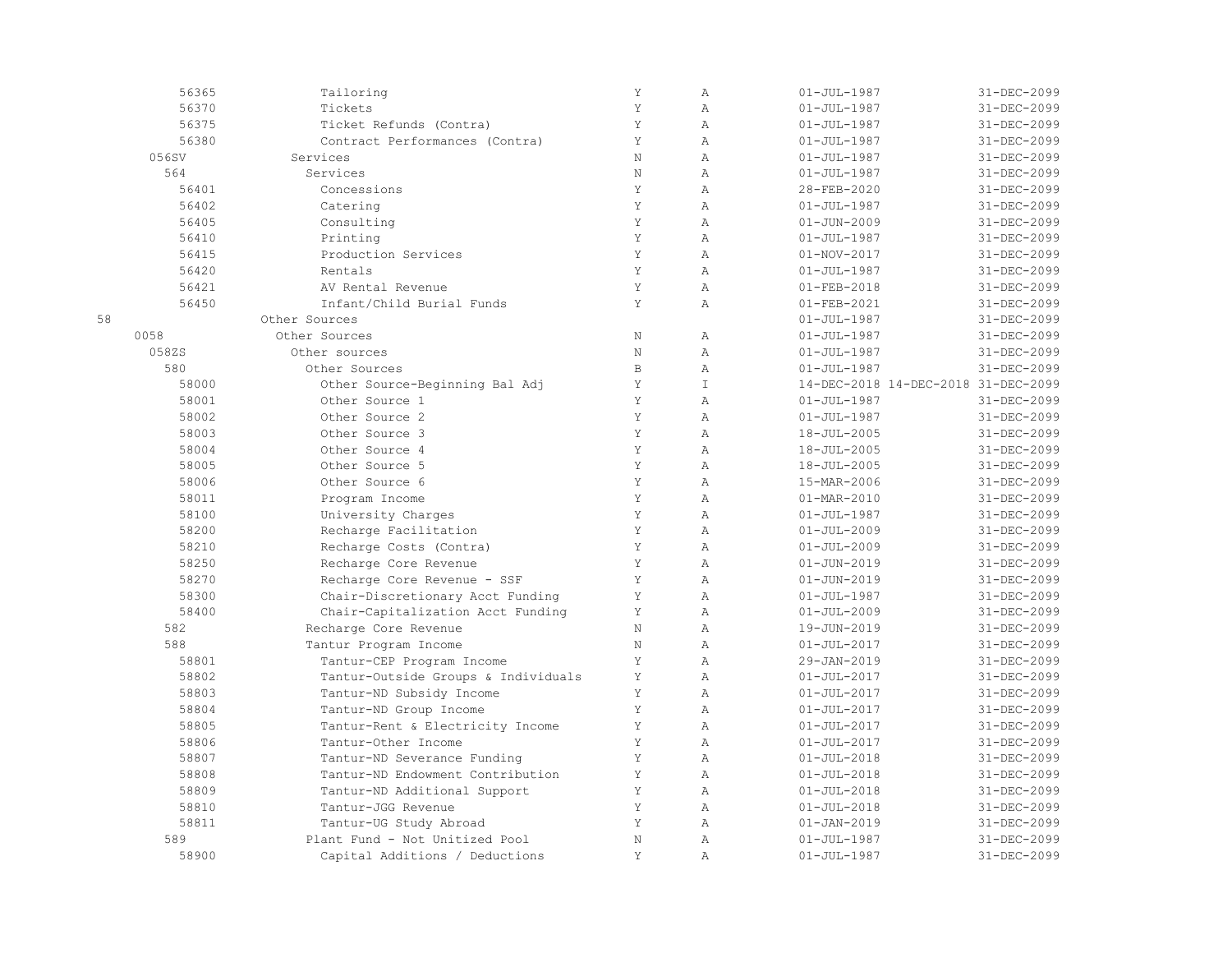|    | 56365 | Tailoring                           | $\mathbf Y$ | $\mathbb{A}$   | $01 - JUL - 1987$                   | 31-DEC-2099 |
|----|-------|-------------------------------------|-------------|----------------|-------------------------------------|-------------|
|    | 56370 | Tickets                             | Y           | $\mathbb{A}$   | $01 - JUL - 1987$                   | 31-DEC-2099 |
|    | 56375 | Ticket Refunds (Contra)             | Y           | $\overline{A}$ | $01 - JUL - 1987$                   | 31-DEC-2099 |
|    | 56380 | Contract Performances (Contra)      | Y           | $\overline{A}$ | $01 - JUL - 1987$                   | 31-DEC-2099 |
|    | 056SV | Services                            | N           | $\overline{A}$ | $01 - JUL - 1987$                   | 31-DEC-2099 |
|    | 564   | Services                            | N           | $\mathbb{A}$   | $01 - JUL - 1987$                   | 31-DEC-2099 |
|    | 56401 | Concessions                         | Y           | $\mathbb{A}$   | 28-FEB-2020                         | 31-DEC-2099 |
|    | 56402 | Catering                            | Y           | $\overline{A}$ | $01 - JUL - 1987$                   | 31-DEC-2099 |
|    | 56405 | Consulting                          | Y           | $\overline{A}$ | $01 - JUN - 2009$                   | 31-DEC-2099 |
|    | 56410 | Printing                            | Y           | $\mathbb{A}$   | $01 - JUL - 1987$                   | 31-DEC-2099 |
|    | 56415 | Production Services                 | Y           | $\mathbb{A}$   | $01 - NOV - 2017$                   | 31-DEC-2099 |
|    | 56420 | Rentals                             | Y           | $\mathbb{A}$   | $01 - JUL - 1987$                   | 31-DEC-2099 |
|    | 56421 | AV Rental Revenue                   | Y           | $\overline{A}$ | $01 - FEB - 2018$                   | 31-DEC-2099 |
|    | 56450 | Infant/Child Burial Funds           | Y           | $\mathbb{A}$   | 01-FEB-2021                         | 31-DEC-2099 |
| 58 |       | Other Sources                       |             |                | $01 - JUL - 1987$                   | 31-DEC-2099 |
|    | 0058  | Other Sources                       | N           | $\mathbb{A}$   | $01 - JUL - 1987$                   | 31-DEC-2099 |
|    | 058ZS | Other sources                       | $\rm N$     | $\overline{A}$ | $01 - JUL - 1987$                   | 31-DEC-2099 |
|    | 580   | Other Sources                       | $\,$ B      | $\mathbb{A}$   | $01 - JUL - 1987$                   | 31-DEC-2099 |
|    | 58000 | Other Source-Beginning Bal Adj      | Y           | $\mathbbm{I}$  | 14-DEC-2018 14-DEC-2018 31-DEC-2099 |             |
|    | 58001 | Other Source 1                      | Y           | $\mathbb{A}$   | $01 - JUL - 1987$                   | 31-DEC-2099 |
|    | 58002 | Other Source 2                      | $\mathbf Y$ | $\mathbb{A}$   | $01 - JUL - 1987$                   | 31-DEC-2099 |
|    | 58003 | Other Source 3                      | Y           | $\mathbb{A}$   | 18-JUL-2005                         | 31-DEC-2099 |
|    | 58004 | Other Source 4                      | Y           | $\mathbb{A}$   | 18-JUL-2005                         | 31-DEC-2099 |
|    | 58005 | Other Source 5                      | Y           | $\overline{A}$ | 18-JUL-2005                         | 31-DEC-2099 |
|    | 58006 | Other Source 6                      | Y           | $\overline{A}$ | 15-MAR-2006                         | 31-DEC-2099 |
|    | 58011 | Program Income                      | Y           | $\mathbb{A}$   | $01 - MAR - 2010$                   | 31-DEC-2099 |
|    | 58100 | University Charges                  | Y           | $\mathbb{A}$   | $01 - JUL - 1987$                   | 31-DEC-2099 |
|    | 58200 | Recharge Facilitation               | Y           | $\mathbb{A}$   | $01 - JUL - 2009$                   | 31-DEC-2099 |
|    | 58210 | Recharge Costs (Contra)             | Y           | $\mathbb{A}$   | $01 - JUL - 2009$                   | 31-DEC-2099 |
|    | 58250 | Recharge Core Revenue               | Y           | $\mathbb{A}$   | $01 - JUN - 2019$                   | 31-DEC-2099 |
|    | 58270 | Recharge Core Revenue - SSF         | Y           | Α              | $01 - JUN - 2019$                   | 31-DEC-2099 |
|    | 58300 | Chair-Discretionary Acct Funding    | Y           | $\mathbb{A}$   | $01 - JUL - 1987$                   | 31-DEC-2099 |
|    | 58400 | Chair-Capitalization Acct Funding   | Y           | $\overline{A}$ | $01 - JUL - 2009$                   | 31-DEC-2099 |
|    | 582   | Recharge Core Revenue               | N           | $\overline{A}$ | 19-JUN-2019                         | 31-DEC-2099 |
|    | 588   | Tantur Program Income               | N           | $\mathbb{A}$   | $01 - JUL - 2017$                   | 31-DEC-2099 |
|    | 58801 | Tantur-CEP Program Income           | Y           | $\mathbb{A}$   | 29-JAN-2019                         | 31-DEC-2099 |
|    | 58802 | Tantur-Outside Groups & Individuals | Y           | $\mathbb{A}$   | $01 - JUL - 2017$                   | 31-DEC-2099 |
|    | 58803 | Tantur-ND Subsidy Income            | Y           | $\mathbb{A}$   | $01 - JUL - 2017$                   | 31-DEC-2099 |
|    | 58804 | Tantur-ND Group Income              | Y           | $\, {\bf A}$   | $01 - JUL - 2017$                   | 31-DEC-2099 |
|    | 58805 | Tantur-Rent & Electricity Income    | Y           | $\mathbb{A}$   | $01 - JUL - 2017$                   | 31-DEC-2099 |
|    | 58806 | Tantur-Other Income                 | Y           | $\overline{A}$ | $01 - JUL - 2017$                   | 31-DEC-2099 |
|    | 58807 | Tantur-ND Severance Funding         | Y           | $\overline{A}$ | $01 - JUL - 2018$                   | 31-DEC-2099 |
|    | 58808 | Tantur-ND Endowment Contribution    | Y           | $\mathbb{A}$   | $01 - JUL - 2018$                   | 31-DEC-2099 |
|    | 58809 | Tantur-ND Additional Support        | Y           | $\mathbb{A}$   | $01 - JUL - 2018$                   | 31-DEC-2099 |
|    | 58810 | Tantur-JGG Revenue                  | Y           | $\mathbb{A}$   | $01 - JUL - 2018$                   | 31-DEC-2099 |
|    | 58811 | Tantur-UG Study Abroad              | Y           | $\overline{A}$ | $01 - JAN - 2019$                   | 31-DEC-2099 |
|    | 589   | Plant Fund - Not Unitized Pool      | $\rm N$     | $\mathbb{A}$   | $01 - JUL - 1987$                   | 31-DEC-2099 |
|    | 58900 | Capital Additions / Deductions      | Y           | $\mathbb{A}$   | $01 - JUL - 1987$                   | 31-DEC-2099 |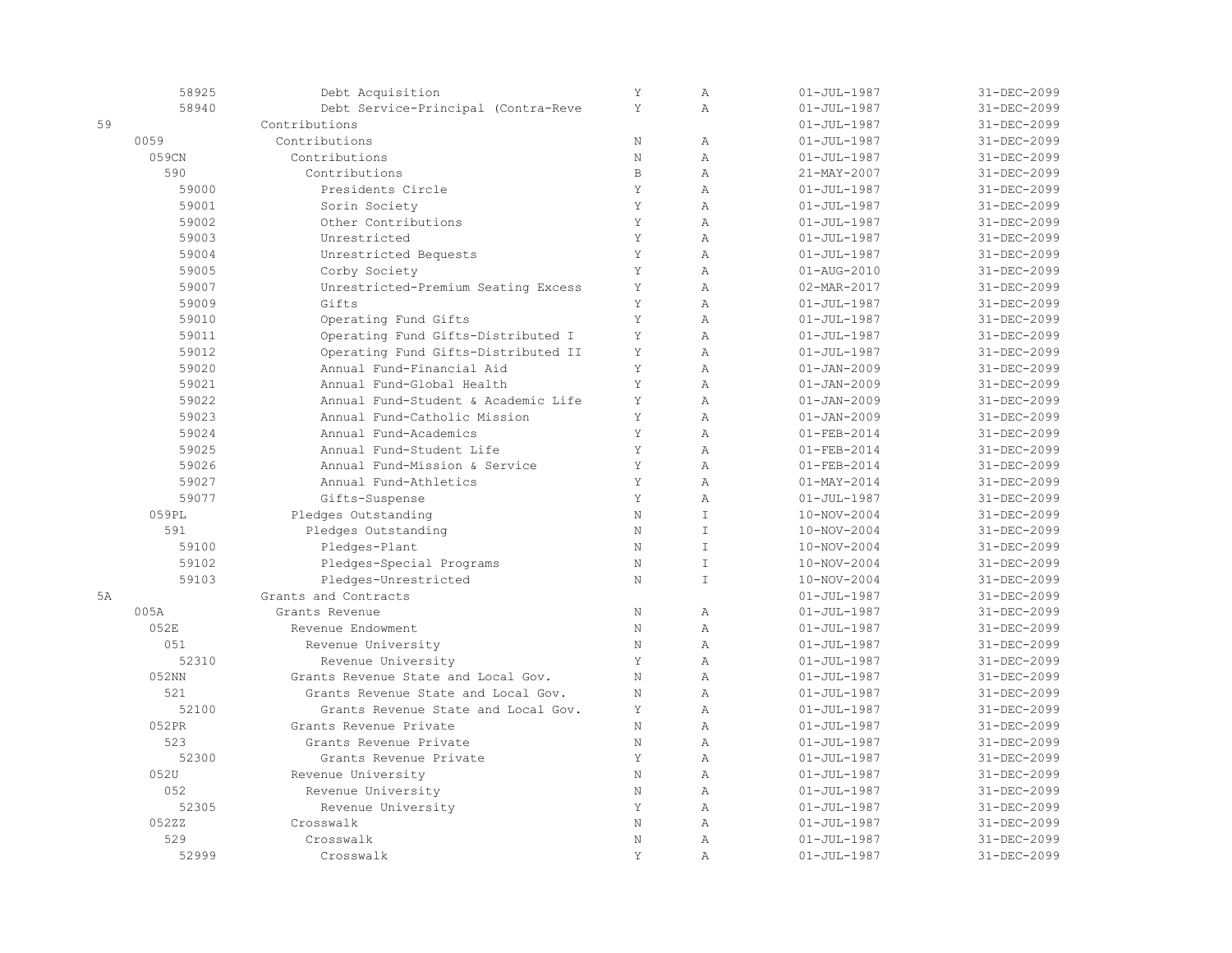|           | 58925 | Debt Acquisition                    | Y            | $\mathbb{A}$   | $01 - JUL - 1987$ | 31-DEC-2099       |
|-----------|-------|-------------------------------------|--------------|----------------|-------------------|-------------------|
|           | 58940 | Debt Service-Principal (Contra-Reve | Y            | $\lambda$      | $01 - JUL - 1987$ | 31-DEC-2099       |
| 59        |       | Contributions                       |              |                | $01 - JUL - 1987$ | 31-DEC-2099       |
|           | 0059  | Contributions                       | $\mathbf N$  | $\mathbb{A}$   | $01 - JUL - 1987$ | 31-DEC-2099       |
|           | 059CN | Contributions                       | $\mathbf N$  | $\overline{A}$ | $01 - JUL - 1987$ | 31-DEC-2099       |
|           | 590   | Contributions                       | $\mathbf{B}$ | $\overline{A}$ | 21-MAY-2007       | 31-DEC-2099       |
|           | 59000 | Presidents Circle                   | Y            | $\mathbb{A}$   | $01 - JUL - 1987$ | 31-DEC-2099       |
|           | 59001 | Sorin Society                       | Y            | $\mathbb{A}$   | $01 - JUL - 1987$ | 31-DEC-2099       |
|           | 59002 | Other Contributions                 | Y            | $\overline{A}$ | $01 - JUL - 1987$ | 31-DEC-2099       |
|           | 59003 | Unrestricted                        | Y            | $\overline{A}$ | $01 - JUL - 1987$ | 31-DEC-2099       |
|           | 59004 | Unrestricted Bequests               | Y            | $\overline{A}$ | $01 - JUL - 1987$ | 31-DEC-2099       |
|           | 59005 | Corby Society                       | Y            | $\mathbb{A}$   | $01 - AUG - 2010$ | 31-DEC-2099       |
|           | 59007 | Unrestricted-Premium Seating Excess | Y            | $\mathbb{A}$   | 02-MAR-2017       | 31-DEC-2099       |
|           | 59009 | Gifts                               | Y            | $\overline{A}$ | $01 - JUL - 1987$ | 31-DEC-2099       |
|           | 59010 | Operating Fund Gifts                | Y            | $\mathbb{A}$   | $01 - JUL - 1987$ | 31-DEC-2099       |
|           | 59011 | Operating Fund Gifts-Distributed I  | Y            | $\mathbb{A}$   | $01 - JUL - 1987$ | 31-DEC-2099       |
|           | 59012 | Operating Fund Gifts-Distributed II | Y            | $\lambda$      | $01 - JUL - 1987$ | 31-DEC-2099       |
|           | 59020 | Annual Fund-Financial Aid           | Y            | $\overline{A}$ | $01 - JAN - 2009$ | $31 - DEC - 2099$ |
|           | 59021 | Annual Fund-Global Health           | Y            | $\mathbb{A}$   | $01 - JAN - 2009$ | 31-DEC-2099       |
|           | 59022 | Annual Fund-Student & Academic Life | Y            | $\mathbb{A}$   | $01 - JAN - 2009$ | 31-DEC-2099       |
|           | 59023 | Annual Fund-Catholic Mission        | Y            | $\mathbb{A}$   | $01 - JAN - 2009$ | 31-DEC-2099       |
|           | 59024 | Annual Fund-Academics               | Y            | $\lambda$      | $01 - FEB - 2014$ | 31-DEC-2099       |
|           | 59025 | Annual Fund-Student Life            | Y            | $\overline{A}$ | $01 - FEB - 2014$ | 31-DEC-2099       |
|           | 59026 | Annual Fund-Mission & Service       | Y            | $\mathbb{A}$   | $01 - FEB - 2014$ | 31-DEC-2099       |
|           | 59027 | Annual Fund-Athletics               | Y            | $\overline{A}$ | $01 - MAX - 2014$ | 31-DEC-2099       |
|           | 59077 | Gifts-Suspense                      | Y            | $\overline{A}$ | $01 - JUL - 1987$ | 31-DEC-2099       |
|           | 059PL | Pledges Outstanding                 | $\mathbb N$  | $\mathbbm{I}$  | 10-NOV-2004       | 31-DEC-2099       |
|           | 591   | Pledges Outstanding                 | $\mathbb N$  | $\top$         | 10-NOV-2004       | 31-DEC-2099       |
|           | 59100 | Pledges-Plant                       | $\rm N$      | $\mathsf{T}$   | 10-NOV-2004       | 31-DEC-2099       |
|           | 59102 | Pledges-Special Programs            | N            | $\top$         | 10-NOV-2004       | 31-DEC-2099       |
|           | 59103 | Pledges-Unrestricted                | N            | $\top$         | 10-NOV-2004       | 31-DEC-2099       |
| <b>5A</b> |       | Grants and Contracts                |              |                | $01 - JUL - 1987$ | 31-DEC-2099       |
|           | 005A  | Grants Revenue                      | $\rm N$      | $\mathbb{A}$   | $01 - JUL - 1987$ | $31 - DEC - 2099$ |
|           | 052E  | Revenue Endowment                   | $\rm N$      | $\lambda$      | $01 - JUL - 1987$ | 31-DEC-2099       |
|           | 051   | Revenue University                  | $\rm N$      | $\mathbb{A}$   | $01 - JUL - 1987$ | 31-DEC-2099       |
|           | 52310 | Revenue University                  | Y            | $\lambda$      | $01 - JUL - 1987$ | 31-DEC-2099       |
|           | 052NN | Grants Revenue State and Local Gov. | $\mathbf N$  | $\overline{A}$ | $01 - JUL - 1987$ | 31-DEC-2099       |
|           | 521   | Grants Revenue State and Local Gov. | N            | $\overline{A}$ | $01 - JUL - 1987$ | $31 - DEC - 2099$ |
|           | 52100 | Grants Revenue State and Local Gov. | Y            | $\mathbb{A}$   | $01 - JUL - 1987$ | 31-DEC-2099       |
|           | 052PR | Grants Revenue Private              | $\rm N$      | $\mathbb{A}$   | $01 - JUL - 1987$ | 31-DEC-2099       |
|           | 523   | Grants Revenue Private              | $\rm N$      | $\mathbb{A}$   | $01 - JUL - 1987$ | 31-DEC-2099       |
|           | 52300 | Grants Revenue Private              | Y            | $\overline{A}$ | $01 - JUL - 1987$ | 31-DEC-2099       |
|           | 052U  | Revenue University                  | $\mathbf N$  | $\mathbb{A}$   | $01 - JUL - 1987$ | 31-DEC-2099       |
|           | 052   | Revenue University                  | N            | $\mathbb{A}$   | $01 - JUL - 1987$ | 31-DEC-2099       |
|           | 52305 | Revenue University                  | Y            | $\mathbb{A}$   | $01 - JUL - 1987$ | $31 - DEC - 2099$ |
|           | 052ZZ | Crosswalk                           | N            | $\overline{A}$ | $01 - JUL - 1987$ | 31-DEC-2099       |
|           | 529   | Crosswalk                           | $\mathbb N$  | $\mathbb{A}$   | $01 - JUL - 1987$ | 31-DEC-2099       |
|           | 52999 | Crosswalk                           | Y            | $\mathbb{A}$   | $01 - JUL - 1987$ | 31-DEC-2099       |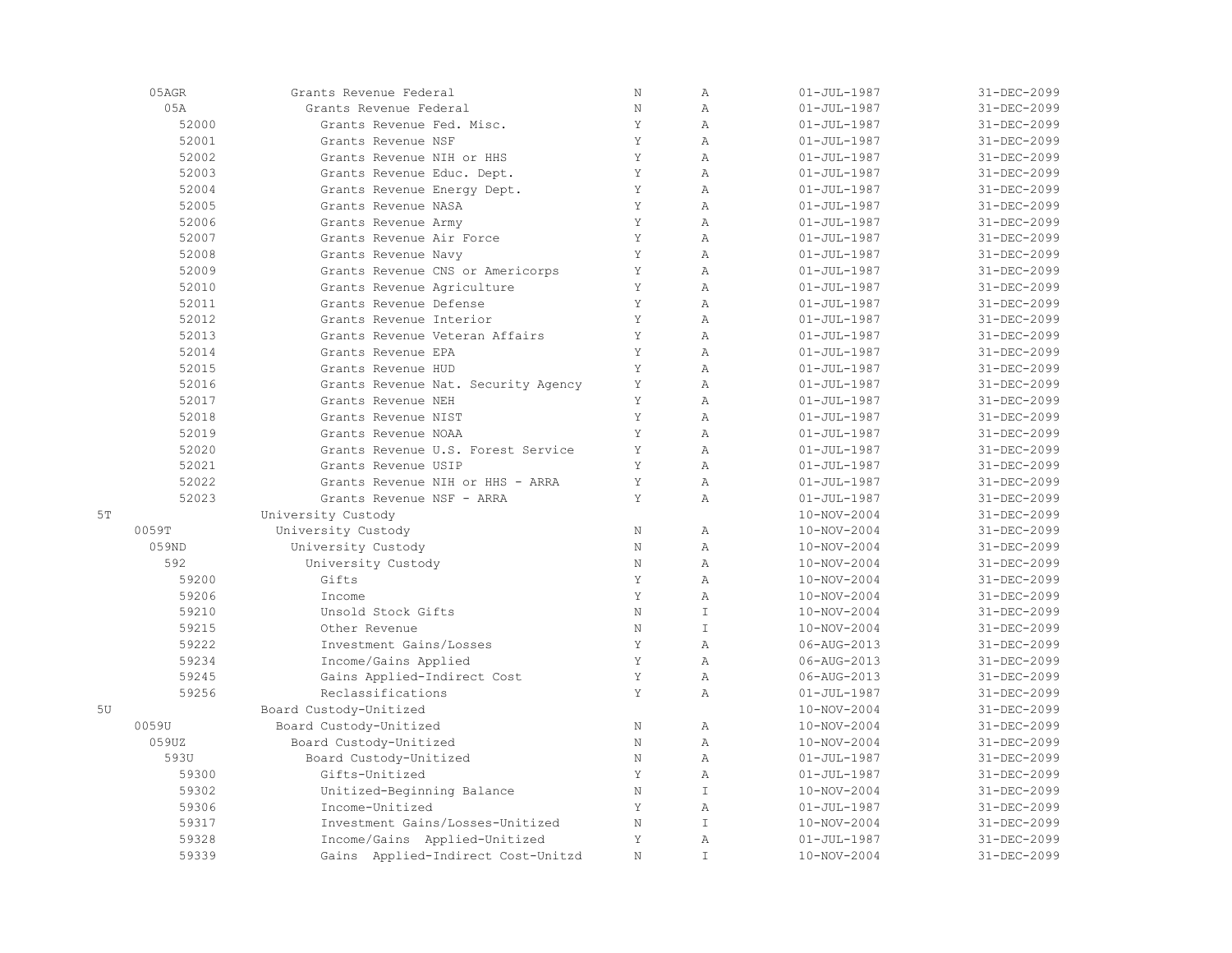|    | 05AGR | Grants Revenue Federal              | $\rm N$      | $\mathbb{A}$   | $01 - JUL - 1987$ | 31-DEC-2099 |
|----|-------|-------------------------------------|--------------|----------------|-------------------|-------------|
|    | 0.5A  | Grants Revenue Federal              | $\rm N$      | $\overline{A}$ | $01 - JUL - 1987$ | 31-DEC-2099 |
|    | 52000 | Grants Revenue Fed. Misc.           | Y            | $\overline{A}$ | $01 - JUL - 1987$ | 31-DEC-2099 |
|    | 52001 | Grants Revenue NSF                  | Y            | $\mathbb{A}$   | $01 - JUL - 1987$ | 31-DEC-2099 |
|    | 52002 | Grants Revenue NIH or HHS           | Y            | A              | $01 - JUL - 1987$ | 31-DEC-2099 |
|    | 52003 | Grants Revenue Educ. Dept.          | Y            | $\overline{A}$ | $01 - JUL - 1987$ | 31-DEC-2099 |
|    | 52004 | Grants Revenue Energy Dept.         | Y            | $\mathbb{A}$   | $01 - JUL - 1987$ | 31-DEC-2099 |
|    | 52005 | Grants Revenue NASA                 | Y            | $\mathbb{A}$   | $01 - JUL - 1987$ | 31-DEC-2099 |
|    | 52006 | Grants Revenue Army                 | Y            | $\mathbb{A}$   | $01 - JUL - 1987$ | 31-DEC-2099 |
|    | 52007 | Grants Revenue Air Force            | Y            | $\mathbb{A}$   | $01 - JUL - 1987$ | 31-DEC-2099 |
|    | 52008 | Grants Revenue Navy                 | Y            | $\overline{A}$ | $01 - JUL - 1987$ | 31-DEC-2099 |
|    | 52009 | Grants Revenue CNS or Americorps    | Y            | $\mathbb{A}$   | $01 - JUL - 1987$ | 31-DEC-2099 |
|    | 52010 | Grants Revenue Agriculture          | Y            | $\overline{A}$ | $01 - JUL - 1987$ | 31-DEC-2099 |
|    | 52011 | Grants Revenue Defense              | Y            | $\overline{A}$ | $01 - JUL - 1987$ | 31-DEC-2099 |
|    | 52012 | Grants Revenue Interior             | Y            | $\overline{A}$ | $01 - JUL - 1987$ | 31-DEC-2099 |
|    | 52013 | Grants Revenue Veteran Affairs      | Y            | $\mathbb{A}$   | $01 - JUL - 1987$ | 31-DEC-2099 |
|    | 52014 | Grants Revenue EPA                  | Y            | $\mathbb{A}$   | $01 - JUL - 1987$ | 31-DEC-2099 |
|    | 52015 | Grants Revenue HUD                  | Y            | $\mathbb{A}$   | $01 - JUL - 1987$ | 31-DEC-2099 |
|    | 52016 | Grants Revenue Nat. Security Agency | Y            | $\mathbb{A}$   | $01 - JUL - 1987$ | 31-DEC-2099 |
|    | 52017 | Grants Revenue NEH                  | Y            | $\overline{A}$ | $01 - JUL - 1987$ | 31-DEC-2099 |
|    | 52018 | Grants Revenue NIST                 | Y            | $\overline{A}$ | $01 - JUL - 1987$ | 31-DEC-2099 |
|    | 52019 | Grants Revenue NOAA                 | Y            | $\overline{A}$ | $01 - JUL - 1987$ | 31-DEC-2099 |
|    | 52020 | Grants Revenue U.S. Forest Service  | Y            | $\overline{A}$ | $01 - JUL - 1987$ | 31-DEC-2099 |
|    | 52021 | Grants Revenue USIP                 | Y            | $\overline{A}$ | $01 - JUL - 1987$ | 31-DEC-2099 |
|    | 52022 | Grants Revenue NIH or HHS - ARRA    | Y            | $\mathbb{A}$   | $01 - JUL - 1987$ | 31-DEC-2099 |
|    | 52023 | Grants Revenue NSF - ARRA           | Y            | $\mathbb{A}$   | $01 - JUL - 1987$ | 31-DEC-2099 |
| 5T |       | University Custody                  |              |                | 10-NOV-2004       | 31-DEC-2099 |
|    | 0059T | University Custody                  | $\rm N$      | $\mathbb{A}$   | 10-NOV-2004       | 31-DEC-2099 |
|    | 059ND | University Custody                  | $\rm N$      | $\, {\bf A}$   | 10-NOV-2004       | 31-DEC-2099 |
|    | 592   | University Custody                  | $\mathbf N$  | $\overline{A}$ | 10-NOV-2004       | 31-DEC-2099 |
|    | 59200 | Gifts                               | $\mathsf{Y}$ | $\overline{A}$ | $10 - NOV - 2004$ | 31-DEC-2099 |
|    | 59206 | Income                              | Y            | $\overline{A}$ | 10-NOV-2004       | 31-DEC-2099 |
|    | 59210 | Unsold Stock Gifts                  | N            | $\top$         | 10-NOV-2004       | 31-DEC-2099 |
|    | 59215 | Other Revenue                       | $\rm N$      | $\top$         | 10-NOV-2004       | 31-DEC-2099 |
|    | 59222 | Investment Gains/Losses             | Y            | $\overline{A}$ | 06-AUG-2013       | 31-DEC-2099 |
|    | 59234 | Income/Gains Applied                | Y            | $\mathbb{A}$   | 06-AUG-2013       | 31-DEC-2099 |
|    | 59245 | Gains Applied-Indirect Cost         | Y            | $\mathbb{A}$   | 06-AUG-2013       | 31-DEC-2099 |
|    | 59256 | Reclassifications                   | Y            | $\overline{A}$ | $01 - JUL - 1987$ | 31-DEC-2099 |
| 5U |       | Board Custody-Unitized              |              |                | 10-NOV-2004       | 31-DEC-2099 |
|    | 0059U | Board Custody-Unitized              | N            | $\overline{A}$ | 10-NOV-2004       | 31-DEC-2099 |
|    | 059UZ | Board Custody-Unitized              | N            | $\mathbb{A}$   | 10-NOV-2004       | 31-DEC-2099 |
|    | 593U  | Board Custody-Unitized              | $\rm N$      | $\mathbb{A}$   | $01 - JUL - 1987$ | 31-DEC-2099 |
|    | 59300 | Gifts-Unitized                      | Y            | $\mathbb{A}$   | $01 - JUL - 1987$ | 31-DEC-2099 |
|    | 59302 | Unitized-Beginning Balance          | $\rm N$      | $\top$         | 10-NOV-2004       | 31-DEC-2099 |
|    | 59306 | Income-Unitized                     | Y            | $\mathbb{A}$   | $01 - JUL - 1987$ | 31-DEC-2099 |
|    | 59317 | Investment Gains/Losses-Unitized    | $\rm N$      | $\mathsf{T}$   | 10-NOV-2004       | 31-DEC-2099 |
|    | 59328 | Income/Gains Applied-Unitized       | Y            | $\overline{A}$ | $01 - JUL - 1987$ | 31-DEC-2099 |
|    | 59339 | Gains Applied-Indirect Cost-Unitzd  | N            | $\mathsf{T}$   | 10-NOV-2004       | 31-DEC-2099 |